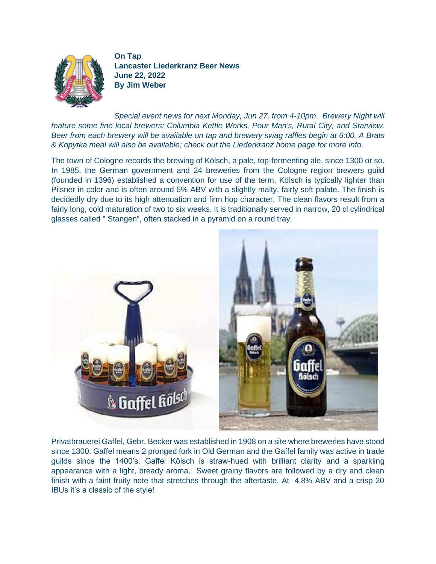

**On Tap Lancaster Liederkranz Beer News June 22, 2022 By Jim Weber**

*Special event news for next Monday, Jun 27, from 4-10pm. Brewery Night will feature some fine local brewers: Columbia Kettle Works, Pour Man's, Rural City, and Starview. Beer from each brewery will be available on tap and brewery swag raffles begin at 6:00. A Brats & Kopytka meal will also be available; check out the Liederkranz home page for more info.* 

The town of Cologne records the brewing of Kölsch, a pale, top-fermenting ale, since 1300 or so. In 1985, the German government and 24 breweries from the Cologne region brewers guild (founded in 1396) established a convention for use of the term. Kölsch is typically lighter than Pilsner in color and is often around 5% ABV with a slightly malty, fairly soft palate. The finish is decidedly dry due to its high attenuation and firm hop character. The clean flavors result from a fairly long, cold maturation of two to six weeks. It is traditionally served in narrow, 20 cl cylindrical glasses called " Stangen", often stacked in a pyramid on a round tray.



Privatbrauerei Gaffel, Gebr. Becker was established in 1908 on a site where breweries have stood since 1300. Gaffel means 2 pronged fork in Old German and the Gaffel family was active in trade guilds since the 1400's. Gaffel Kölsch is straw-hued with brilliant clarity and a sparkling appearance with a light, bready aroma. Sweet grainy flavors are followed by a dry and clean finish with a faint fruity note that stretches through the aftertaste. At 4.8% ABV and a crisp 20 IBUs it's a classic of the style!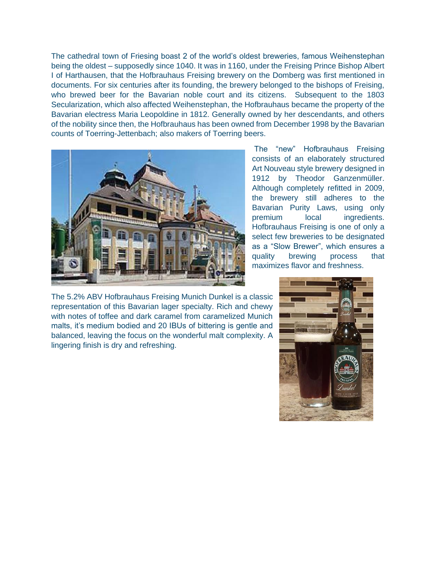The cathedral town of Friesing boast 2 of the world's oldest breweries, famous Weihenstephan being the oldest – supposedly since 1040. It was in 1160, under the Freising Prince Bishop Albert I of Harthausen, that the Hofbrauhaus Freising brewery on the Domberg was first mentioned in documents. For six centuries after its founding, the brewery belonged to the bishops of Freising, who brewed beer for the Bavarian noble court and its citizens. Subsequent to the 1803 Secularization, which also affected Weihenstephan, the Hofbrauhaus became the property of the Bavarian electress Maria Leopoldine in 1812. Generally owned by her descendants, and others of the nobility since then, the Hofbrauhaus has been owned from December 1998 by the Bavarian counts of Toerring-Jettenbach; also makers of Toerring beers.



The "new" Hofbrauhaus Freising consists of an elaborately structured Art Nouveau style brewery designed in 1912 by Theodor Ganzenmüller. Although completely refitted in 2009, the brewery still adheres to the Bavarian Purity Laws, using only premium local ingredients. Hofbrauhaus Freising is one of only a select few breweries to be designated as a "Slow Brewer", which ensures a quality brewing process that maximizes flavor and freshness.

The 5.2% ABV Hofbrauhaus Freising Munich Dunkel is a classic representation of this Bavarian lager specialty. Rich and chewy with notes of toffee and dark caramel from caramelized Munich malts, it's medium bodied and 20 IBUs of bittering is gentle and balanced, leaving the focus on the wonderful malt complexity. A lingering finish is dry and refreshing.

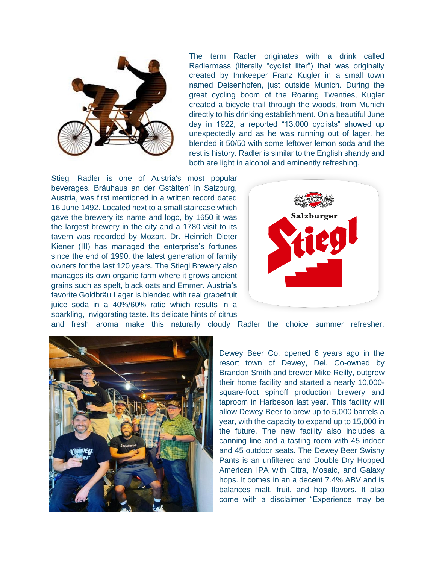

The term Radler originates with a drink called Radlermass (literally "cyclist liter") that was originally created by Innkeeper Franz Kugler in a small town named Deisenhofen, just outside Munich. During the great cycling boom of the Roaring Twenties, Kugler created a bicycle trail through the woods, from Munich directly to his drinking establishment. On a beautiful June day in 1922, a reported "13,000 cyclists" showed up unexpectedly and as he was running out of lager, he blended it 50/50 with some leftover lemon soda and the rest is history. Radler is similar to the English shandy and both are light in alcohol and eminently refreshing.

Stiegl Radler is one of Austria's most popular beverages. Bräuhaus an der Gstätten' in Salzburg, Austria, was first mentioned in a written record dated 16 June 1492. Located next to a small staircase which gave the brewery its name and logo, by 1650 it was the largest brewery in the city and a 1780 visit to its tavern was recorded by Mozart. Dr. Heinrich Dieter Kiener (III) has managed the enterprise's fortunes since the end of 1990, the latest generation of family owners for the last 120 years. The Stiegl Brewery also manages its own organic farm where it grows ancient grains such as spelt, black oats and Emmer. Austria's favorite Goldbräu Lager is blended with real grapefruit juice soda in a 40%/60% ratio which results in a sparkling, invigorating taste. Its delicate hints of citrus



and fresh aroma make this naturally cloudy Radler the choice summer refresher.



Dewey Beer Co. opened 6 years ago in the resort town of Dewey, Del. Co-owned by Brandon Smith and brewer Mike Reilly, outgrew their home facility and started a nearly 10,000 square-foot spinoff production brewery and taproom in Harbeson last year. This facility will allow Dewey Beer to brew up to 5,000 barrels a year, with the capacity to expand up to 15,000 in the future. The new facility also includes a canning line and a tasting room with 45 indoor and 45 outdoor seats. The Dewey Beer Swishy Pants is an unfiltered and Double Dry Hopped American IPA with Citra, Mosaic, and Galaxy hops. It comes in an a decent 7.4% ABV and is balances malt, fruit, and hop flavors. It also come with a disclaimer "Experience may be